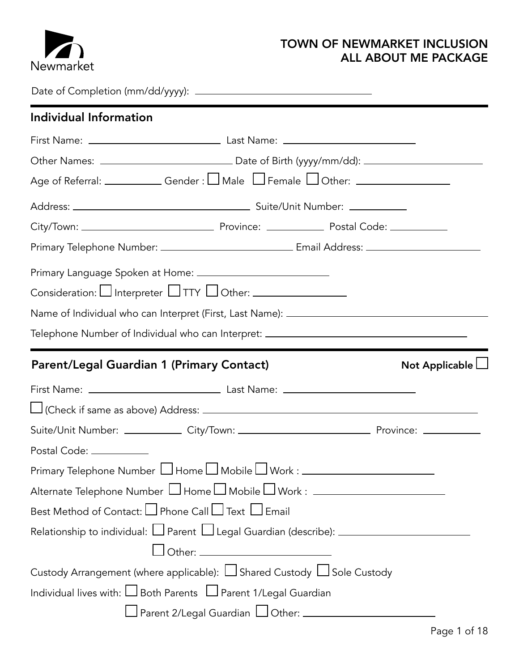

#### TOWN OF NEWMARKET INCLUSION ALL ABOUT ME PACKAGE

Date of Completion (mm/dd/yyyy):

| Individual Information                                                                                                      |
|-----------------------------------------------------------------------------------------------------------------------------|
|                                                                                                                             |
|                                                                                                                             |
|                                                                                                                             |
|                                                                                                                             |
|                                                                                                                             |
| Primary Telephone Number: ___________________________________Email Address: ________________________                        |
|                                                                                                                             |
| Consideration: $\Box$ Interpreter $\Box$ TTY $\Box$ Other: $\_\_\_\_\_\_\_\_\_\_\_\_\_\_\_\_\_\_\_\_\_\_\_\_\_\_\_\_\_\_\_$ |
| Name of Individual who can Interpret (First, Last Name): ________________________                                           |
| Telephone Number of Individual who can Interpret: ______________________________                                            |
| Parent/Legal Guardian 1 (Primary Contact)<br>Not Applicable $\Box$                                                          |
|                                                                                                                             |
|                                                                                                                             |
| Suite/Unit Number: ______________ City/Town: ___________________________________ Province: ______________                   |
| Postal Code: ___________                                                                                                    |
| Primary Telephone Number LJ Home LJ Mobile LJ Work : ___________________________                                            |
| Alternate Telephone Number □ Home □ Mobile □ Work : ____________________________                                            |
| Best Method of Contact: LJ Phone Call LJ Text LJ Email                                                                      |
| Relationship to individual: $\Box$ Parent $\Box$ Legal Guardian (describe): $\Box$                                          |
|                                                                                                                             |
| Custody Arrangement (where applicable): $\Box$ Shared Custody $\Box$ Sole Custody                                           |
| Individual lives with: $\Box$ Both Parents $\Box$ Parent 1/Legal Guardian                                                   |
|                                                                                                                             |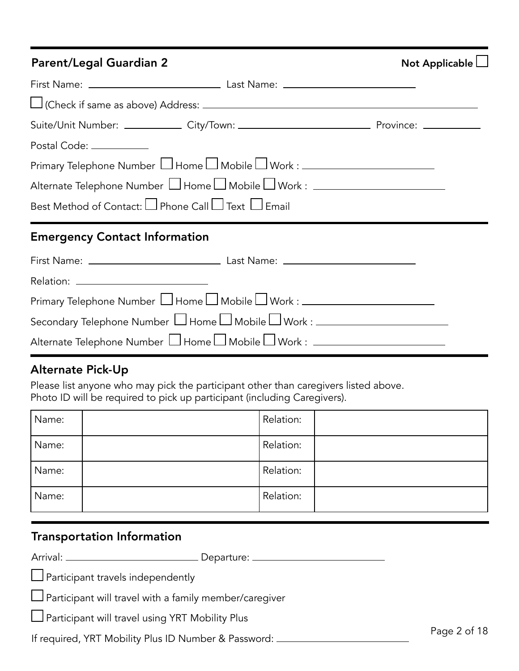## Parent/Legal Guardian 2 Not Applicable and Applicable Applicable and Applicable Applicable Applicable Applicable

|  | Not Applicable $\Box$ |  |
|--|-----------------------|--|
|  |                       |  |

| Suite/Unit Number: ______________ City/Town: ___________________________________ Province: ______________                               |  |
|-----------------------------------------------------------------------------------------------------------------------------------------|--|
| Postal Code: ___________                                                                                                                |  |
| Primary Telephone Number $\Box$ Home $\Box$ Mobile $\Box$ Work : $\_\_\_\_\_\_\_\_\_\_\_\_\_\_\_\_\_\_\_\_\_\_\_\_\_\_\_\_\_\_\_\_\_\_$ |  |
| Alternate Telephone Number □ Home □ Mobile □ Work : ____________________________                                                        |  |
| Best Method of Contact: $\square$ Phone Call $\square$ Text $\square$ Email                                                             |  |
| <b>Emergency Contact Information</b>                                                                                                    |  |

| Primary Telephone Number □ Home □ Mobile □ Work : _____________________________                                                         |  |
|-----------------------------------------------------------------------------------------------------------------------------------------|--|
| Secondary Telephone Number $\Box$ Home $\Box$ Mobile $\Box$ Work : $\_\_\_\_\_\_\_\_\_\_\_\_\_\_\_\_\_\_\_\_\_\_\_\_\_\_\_\_\_\_\_\_\_$ |  |
| Alternate Telephone Number □ Home □ Mobile □ Work : ____________________________                                                        |  |

## Alternate Pick-Up

Please list anyone who may pick the participant other than caregivers listed above. Photo ID will be required to pick up participant (including Caregivers).

| Name: | Relation: |
|-------|-----------|
| Name: | Relation: |
| Name: | Relation: |
| Name: | Relation: |

## Transportation Information

Arrival: Departure:

 $\Box$  Participant travels independently

 $\Box$  Participant will travel with a family member/caregiver

 $\Box$  Participant will travel using YRT Mobility Plus

If required, YRT Mobility Plus ID Number & Password: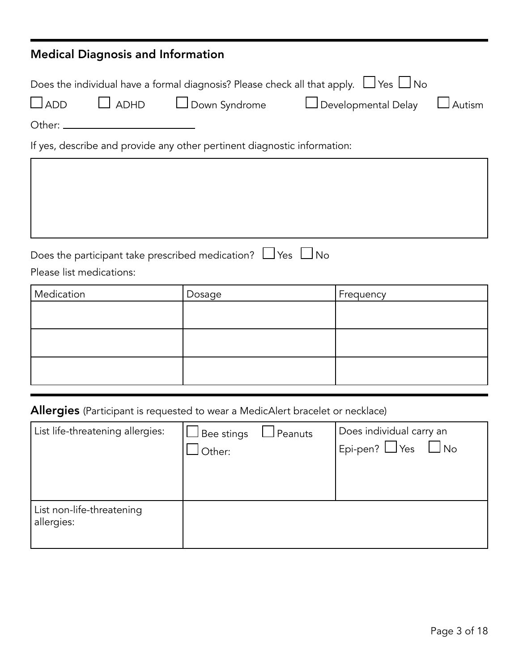| <b>Medical Diagnosis and Information</b>                                       |  |                                                                                                                                                      |           |          |
|--------------------------------------------------------------------------------|--|------------------------------------------------------------------------------------------------------------------------------------------------------|-----------|----------|
| $\Box$ ADD                                                                     |  | Does the individual have a formal diagnosis? Please check all that apply. $\Box$ Yes $\Box$ No<br>□ ADHD   □ Down Syndrome     □ Developmental Delay |           | J Autism |
|                                                                                |  | If yes, describe and provide any other pertinent diagnostic information:                                                                             |           |          |
| Please list medications:                                                       |  | Does the participant take prescribed medication? $\Box$ Yes $\Box$ No                                                                                |           |          |
| Medication                                                                     |  | Dosage                                                                                                                                               | Frequency |          |
|                                                                                |  |                                                                                                                                                      |           |          |
|                                                                                |  |                                                                                                                                                      |           |          |
|                                                                                |  |                                                                                                                                                      |           |          |
| Allergies (Participant is requested to wear a MedicAlert bracelet or necklace) |  |                                                                                                                                                      |           |          |
|                                                                                |  |                                                                                                                                                      |           |          |

| List life-threatening allergies:        | $\square$ Bee stings | $\Box$ Peanuts | Does individual carry an    |
|-----------------------------------------|----------------------|----------------|-----------------------------|
|                                         | Other:               |                | Epi-pen? $\Box$ Yes<br>J No |
|                                         |                      |                |                             |
|                                         |                      |                |                             |
| List non-life-threatening<br>allergies: |                      |                |                             |

ш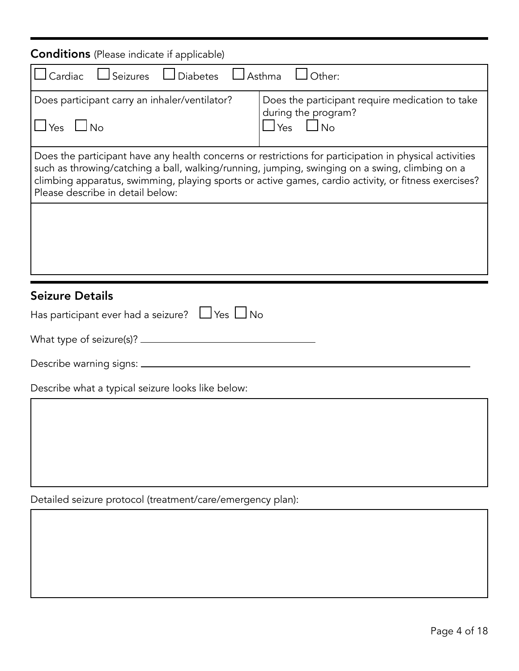| <b>Conditions</b> (Please indicate if applicable)                                                                                                                                                                                                                                                                                                    |                                                                                                |  |  |  |
|------------------------------------------------------------------------------------------------------------------------------------------------------------------------------------------------------------------------------------------------------------------------------------------------------------------------------------------------------|------------------------------------------------------------------------------------------------|--|--|--|
| $\Box$ Cardiac $\Box$ Seizures $\Box$ Diabetes $\Box$ Asthma $\Box$ Other:                                                                                                                                                                                                                                                                           |                                                                                                |  |  |  |
| Does participant carry an inhaler/ventilator?<br>$\Box$ Yes $\Box$ No                                                                                                                                                                                                                                                                                | Does the participant require medication to take<br>during the program?<br>$\Box$ Yes $\Box$ No |  |  |  |
| Does the participant have any health concerns or restrictions for participation in physical activities<br>such as throwing/catching a ball, walking/running, jumping, swinging on a swing, climbing on a<br>climbing apparatus, swimming, playing sports or active games, cardio activity, or fitness exercises?<br>Please describe in detail below: |                                                                                                |  |  |  |
|                                                                                                                                                                                                                                                                                                                                                      |                                                                                                |  |  |  |
| <b>Seizure Details</b>                                                                                                                                                                                                                                                                                                                               |                                                                                                |  |  |  |
| Has participant ever had a seizure? $\Box$ Yes $\Box$ No                                                                                                                                                                                                                                                                                             |                                                                                                |  |  |  |
|                                                                                                                                                                                                                                                                                                                                                      |                                                                                                |  |  |  |
|                                                                                                                                                                                                                                                                                                                                                      |                                                                                                |  |  |  |
| Describe what a typical seizure looks like below:                                                                                                                                                                                                                                                                                                    |                                                                                                |  |  |  |
|                                                                                                                                                                                                                                                                                                                                                      |                                                                                                |  |  |  |
|                                                                                                                                                                                                                                                                                                                                                      |                                                                                                |  |  |  |
|                                                                                                                                                                                                                                                                                                                                                      |                                                                                                |  |  |  |
|                                                                                                                                                                                                                                                                                                                                                      |                                                                                                |  |  |  |

Detailed seizure protocol (treatment/care/emergency plan):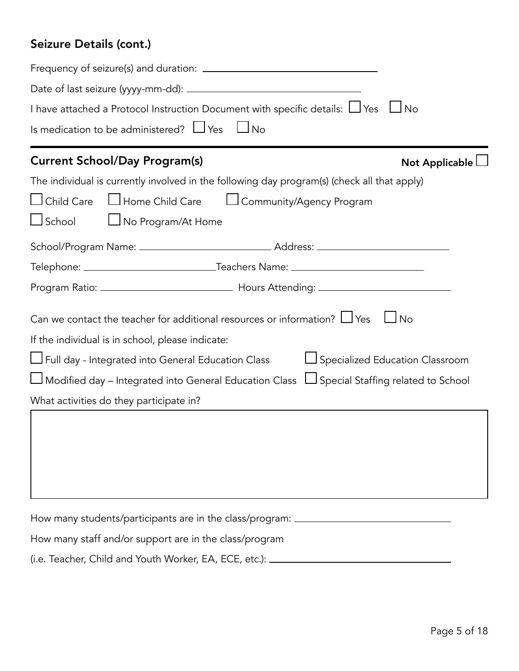## Seizure Details (cont.)

| I have attached a Protocol Instruction Document with specific details: $\Box$ Yes $\Box$ No               |  |  |  |
|-----------------------------------------------------------------------------------------------------------|--|--|--|
| Is medication to be administered? $\Box$ Yes<br>$\Box$ No                                                 |  |  |  |
| <b>Current School/Day Program(s)</b><br>Not Applicable $\lfloor$                                          |  |  |  |
| The individual is currently involved in the following day program(s) (check all that apply)               |  |  |  |
| $\Box$ Child Care<br>□ Home Child Care   □ Community/Agency Program                                       |  |  |  |
| $\Box$ School<br>□ No Program/At Home                                                                     |  |  |  |
|                                                                                                           |  |  |  |
|                                                                                                           |  |  |  |
|                                                                                                           |  |  |  |
| Can we contact the teacher for additional resources or information? $\Box$ Yes<br>$\Box$ No               |  |  |  |
| If the individual is in school, please indicate:                                                          |  |  |  |
| $\bigsqcup$ Full day - Integrated into General Education Class<br>Specialized Education Classroom         |  |  |  |
| $\Box$ Modified day – Integrated into General Education Class $\ \Box$ Special Staffing related to School |  |  |  |
| What activities do they participate in?                                                                   |  |  |  |
|                                                                                                           |  |  |  |
| How many students/participants are in the class/program: _______________________                          |  |  |  |
| How many staff and/or support are in the class/program                                                    |  |  |  |

(i.e. Teacher, Child and Youth Worker, EA, ECE, etc.):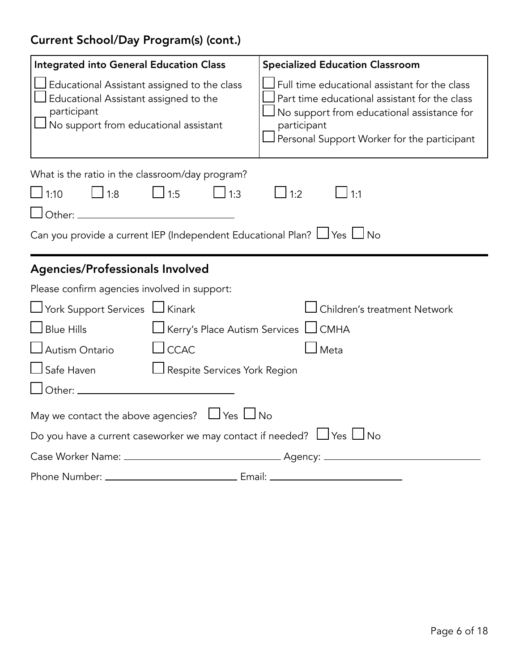# Current School/Day Program(s) (cont.)

| <b>Integrated into General Education Class</b>                                                                                                                                  | <b>Specialized Education Classroom</b>                                                                                                                                                                     |
|---------------------------------------------------------------------------------------------------------------------------------------------------------------------------------|------------------------------------------------------------------------------------------------------------------------------------------------------------------------------------------------------------|
| $\Box$ Educational Assistant assigned to the class<br>Educational Assistant assigned to the<br>participant<br>$\operatorname{\mathsf{J}}$ No support from educational assistant | Full time educational assistant for the class<br>Part time educational assistant for the class<br>No support from educational assistance for<br>participant<br>Personal Support Worker for the participant |
| What is the ratio in the classroom/day program?                                                                                                                                 |                                                                                                                                                                                                            |
| $\Box$ 1:5<br>$\Box$ 1:8<br>$\Box$ 1:3<br>$\Box$ 1:10                                                                                                                           | $\Box$ 1:1<br>$\perp$ 1:2                                                                                                                                                                                  |
|                                                                                                                                                                                 |                                                                                                                                                                                                            |
| Can you provide a current IEP (Independent Educational Plan? $\Box$ Yes $\Box$ No                                                                                               |                                                                                                                                                                                                            |
|                                                                                                                                                                                 |                                                                                                                                                                                                            |
| <b>Agencies/Professionals Involved</b>                                                                                                                                          |                                                                                                                                                                                                            |
| Please confirm agencies involved in support:                                                                                                                                    |                                                                                                                                                                                                            |
| □ York Support Services □ Kinark                                                                                                                                                | Children's treatment Network                                                                                                                                                                               |
| $\Box$ Blue Hills<br>□ Kerry's Place Autism Services □ CMHA                                                                                                                     |                                                                                                                                                                                                            |
| $\Box$ CCAC<br>$\Box$ Autism Ontario                                                                                                                                            | $\rfloor$ Meta                                                                                                                                                                                             |
| $\Box$ Safe Haven<br>Respite Services York Region                                                                                                                               |                                                                                                                                                                                                            |
|                                                                                                                                                                                 |                                                                                                                                                                                                            |
| May we contact the above agencies? $\Box$ Yes $\Box$ No                                                                                                                         |                                                                                                                                                                                                            |
| Do you have a current caseworker we may contact if needed? $\Box$ Yes $\Box$ No                                                                                                 |                                                                                                                                                                                                            |
|                                                                                                                                                                                 |                                                                                                                                                                                                            |
|                                                                                                                                                                                 |                                                                                                                                                                                                            |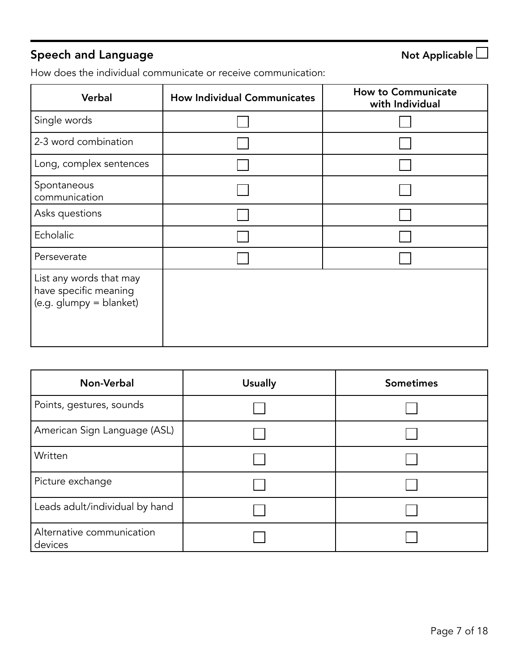# Speech and Language  $\Box$

How does the individual communicate or receive communication:

| Verbal                                                                      | <b>How Individual Communicates</b> | <b>How to Communicate</b><br>with Individual |
|-----------------------------------------------------------------------------|------------------------------------|----------------------------------------------|
| Single words                                                                |                                    |                                              |
| 2-3 word combination                                                        |                                    |                                              |
| Long, complex sentences                                                     |                                    |                                              |
| Spontaneous<br>communication                                                |                                    |                                              |
| Asks questions                                                              |                                    |                                              |
| Echolalic                                                                   |                                    |                                              |
| Perseverate                                                                 |                                    |                                              |
| List any words that may<br>have specific meaning<br>(e.g. glumpy = blanket) |                                    |                                              |

| Non-Verbal                           | <b>Usually</b> | <b>Sometimes</b> |
|--------------------------------------|----------------|------------------|
| Points, gestures, sounds             |                |                  |
| American Sign Language (ASL)         |                |                  |
| Written                              |                |                  |
| Picture exchange                     |                |                  |
| Leads adult/individual by hand       |                |                  |
| Alternative communication<br>devices |                |                  |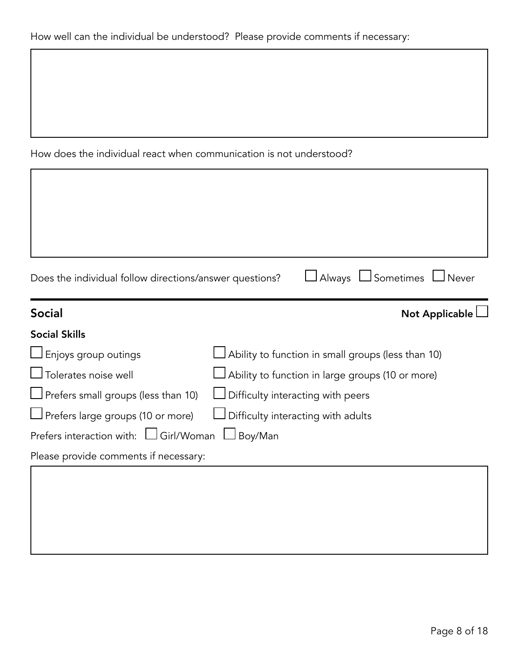How does the individual react when communication is not understood?

Г

| Does the individual follow directions/answer questions? | □ Always □ Sometimes □ Never                               |
|---------------------------------------------------------|------------------------------------------------------------|
| <b>Social</b>                                           | Not Applicable                                             |
| <b>Social Skills</b>                                    |                                                            |
| $\Box$ Enjoys group outings                             | $\sf J$ Ability to function in small groups (less than 10) |
| $\Box$ Tolerates noise well                             | Ability to function in large groups (10 or more)           |
| $\Box$ Prefers small groups (less than 10)              | Difficulty interacting with peers                          |
| $\Box$ Prefers large groups (10 or more)                | Difficulty interacting with adults                         |
| Prefers interaction with: $\Box$ Girl/Woman             | Boy/Man                                                    |
| Please provide comments if necessary:                   |                                                            |
|                                                         |                                                            |
|                                                         |                                                            |
|                                                         |                                                            |

٦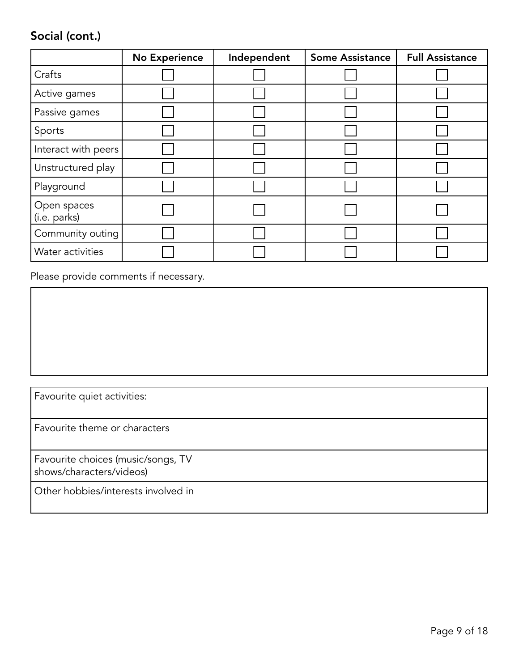# Social (cont.)

|                             | <b>No Experience</b> | Independent | <b>Some Assistance</b> | <b>Full Assistance</b> |
|-----------------------------|----------------------|-------------|------------------------|------------------------|
| Crafts                      |                      |             |                        |                        |
| Active games                |                      |             |                        |                        |
| Passive games               |                      |             |                        |                        |
| Sports                      |                      |             |                        |                        |
| Interact with peers         |                      |             |                        |                        |
| Unstructured play           |                      |             |                        |                        |
| Playground                  |                      |             |                        |                        |
| Open spaces<br>(i.e. parks) |                      |             |                        |                        |
| Community outing            |                      |             |                        |                        |
| Water activities            |                      |             |                        |                        |

Please provide comments if necessary.

| Favourite quiet activities:                                    |  |
|----------------------------------------------------------------|--|
| Favourite theme or characters                                  |  |
| Favourite choices (music/songs, TV<br>shows/characters/videos) |  |
| Other hobbies/interests involved in                            |  |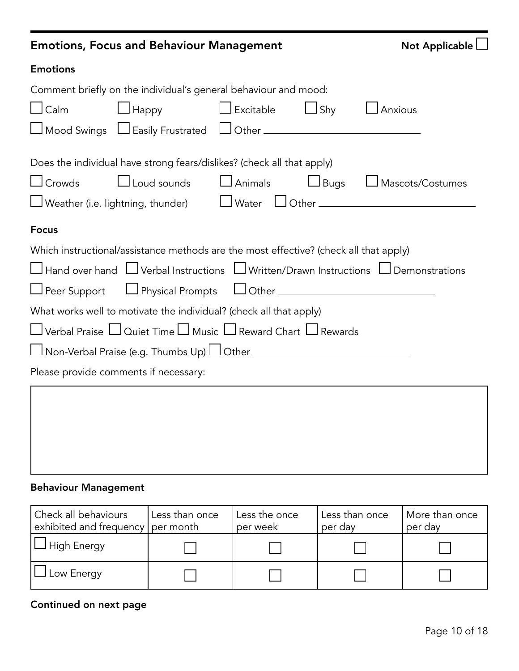|                     | <b>Emotions, Focus and Behaviour Management</b>                                                                                   |                |            | Not Applicable                                                                                               |
|---------------------|-----------------------------------------------------------------------------------------------------------------------------------|----------------|------------|--------------------------------------------------------------------------------------------------------------|
| <b>Emotions</b>     |                                                                                                                                   |                |            |                                                                                                              |
|                     | Comment briefly on the individual's general behaviour and mood:                                                                   |                |            |                                                                                                              |
| $\sqcup$ Calm       | Happy                                                                                                                             | Excitable      | $\Box$ Shy | J Anxious                                                                                                    |
|                     | $\Box$ Mood Swings $\Box$ Easily Frustrated $\Box$ Other $\_\_\_\_\_\_\_\_\_\_\_\_\_\_\_\_\_\_\_\_\_\_\_\_\_\_\_\_\_\_\_\_\_\_\_$ |                |            |                                                                                                              |
|                     | Does the individual have strong fears/dislikes? (check all that apply)                                                            |                |            |                                                                                                              |
| $\Box$ Crowds       | $\Box$ Loud sounds                                                                                                                | $\Box$ Animals |            | □Bugs □ Mascots/Costumes                                                                                     |
|                     |                                                                                                                                   |                |            | $\Box$ Weather (i.e. lightning, thunder) $\hfill\Box$ Water $\hfill\Box$ Other $\hfill\Box$                  |
| <b>Focus</b>        |                                                                                                                                   |                |            |                                                                                                              |
|                     | Which instructional/assistance methods are the most effective? (check all that apply)                                             |                |            |                                                                                                              |
|                     |                                                                                                                                   |                |            | $\Box$ Hand over hand $\Box$ Verbal Instructions $\,\Box$ Written/Drawn Instructions $\,\Box$ Demonstrations |
| $\Box$ Peer Support |                                                                                                                                   |                |            |                                                                                                              |
|                     | What works well to motivate the individual? (check all that apply)                                                                |                |            |                                                                                                              |
|                     | $\Box$ Verbal Praise $\Box$ Quiet Time $\Box$ Music $\Box$ Reward Chart $\Box$ Rewards                                            |                |            |                                                                                                              |
|                     | $\Box$ Non-Verbal Praise (e.g. Thumbs Up) $\Box$ Other _____________________________                                              |                |            |                                                                                                              |
|                     | Please provide comments if necessary:                                                                                             |                |            |                                                                                                              |
|                     |                                                                                                                                   |                |            |                                                                                                              |
|                     |                                                                                                                                   |                |            |                                                                                                              |
|                     |                                                                                                                                   |                |            |                                                                                                              |
|                     |                                                                                                                                   |                |            |                                                                                                              |
|                     |                                                                                                                                   |                |            |                                                                                                              |

## Behaviour Management

| Check all behaviours<br>exhibited and frequency   per month | Less than once | Less the once<br>per week | Less than once<br>per day | More than once<br>per day |
|-------------------------------------------------------------|----------------|---------------------------|---------------------------|---------------------------|
| <b>High Energy</b>                                          |                |                           |                           |                           |
| Low Energy                                                  |                |                           |                           |                           |

## Continued on next page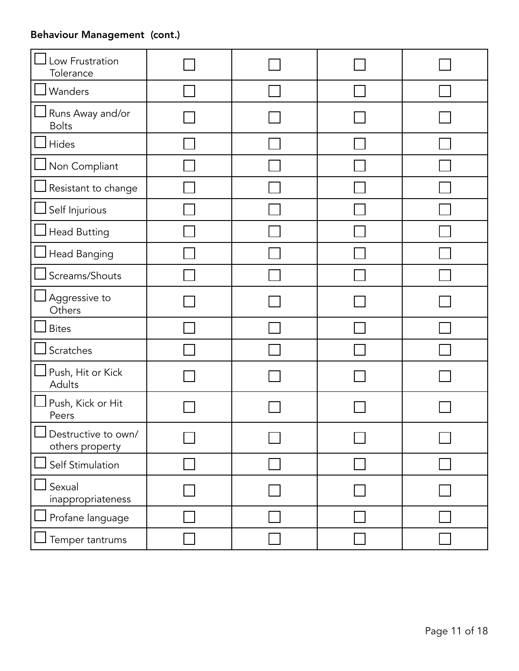## Behaviour Management (cont.)

| Low Frustration<br>Tolerance                             |  |  |
|----------------------------------------------------------|--|--|
| Wanders                                                  |  |  |
| Runs Away and/or<br><b>Bolts</b>                         |  |  |
| Hides                                                    |  |  |
| Non Compliant                                            |  |  |
| Resistant to change                                      |  |  |
| Self Injurious                                           |  |  |
| <b>Head Butting</b>                                      |  |  |
| Head Banging                                             |  |  |
| Screams/Shouts                                           |  |  |
| Aggressive to<br>Others                                  |  |  |
| <b>Bites</b>                                             |  |  |
| Scratches                                                |  |  |
| Push, Hit or Kick<br>Adults                              |  |  |
| Push, Kick or Hit<br>Peers                               |  |  |
| $\blacksquare$<br>Destructive to own/<br>others property |  |  |
| Self Stimulation                                         |  |  |
| Sexual<br>inappropriateness                              |  |  |
| Profane language                                         |  |  |
| Temper tantrums                                          |  |  |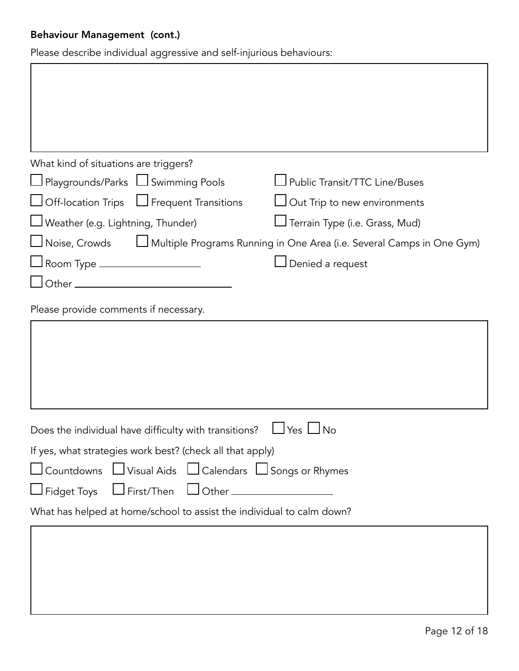## Behaviour Management (cont.)

Please describe individual aggressive and self-injurious behaviours:

| What kind of situations are triggers?                                 |                                                                       |
|-----------------------------------------------------------------------|-----------------------------------------------------------------------|
| □ Playgrounds/Parks □ Swimming Pools                                  | Public Transit/TTC Line/Buses                                         |
| □ Off-location Trips □ Frequent Transitions                           | $\operatorname{\mathsf{J}}\nolimits$ Out Trip to new environments     |
| Weather (e.g. Lightning, Thunder)                                     | □ Terrain Type (i.e. Grass, Mud)                                      |
| Noise, Crowds                                                         | Multiple Programs Running in One Area (i.e. Several Camps in One Gym) |
| J Room Type ___________________                                       | Denied a request                                                      |
|                                                                       |                                                                       |
| Please provide comments if necessary.                                 |                                                                       |
|                                                                       |                                                                       |
|                                                                       |                                                                       |
|                                                                       |                                                                       |
|                                                                       |                                                                       |
|                                                                       |                                                                       |
| Does the individual have difficulty with transitions?                 | JYes ∐No                                                              |
| If yes, what strategies work best? (check all that apply)             |                                                                       |
| Countdowns □ Visual Aids □ Calendars □ Songs or Rhymes                |                                                                       |
| $\Box$ First/Then $\Box$ Other $\Box$<br>$\Box$ Fidget Toys           |                                                                       |
| What has helped at home/school to assist the individual to calm down? |                                                                       |
|                                                                       |                                                                       |
|                                                                       |                                                                       |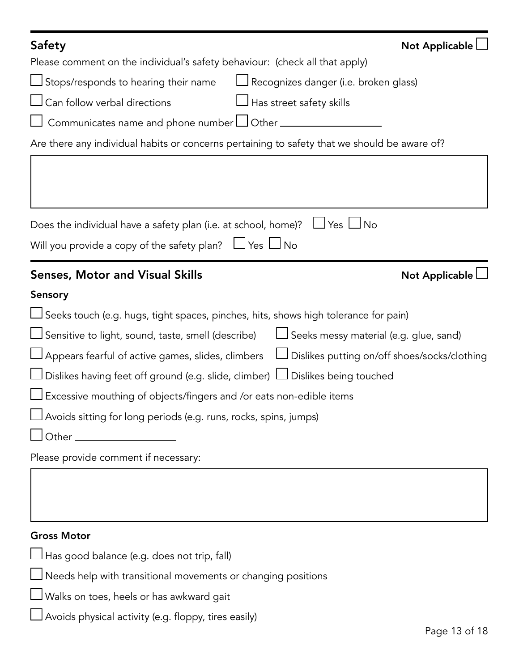| <b>Safety</b><br>Not Applicable                                                                            |
|------------------------------------------------------------------------------------------------------------|
| Please comment on the individual's safety behaviour: (check all that apply)                                |
| Stops/responds to hearing their name<br>Recognizes danger (i.e. broken glass)                              |
| Can follow verbal directions<br>J Has street safety skills                                                 |
| Communicates name and phone number $\Box$ Other $\Box$                                                     |
| Are there any individual habits or concerns pertaining to safety that we should be aware of?               |
|                                                                                                            |
|                                                                                                            |
|                                                                                                            |
| $\Box$ Yes $\Box$ No<br>Does the individual have a safety plan (i.e. at school, home)?                     |
| Will you provide a copy of the safety plan? $\Box$ Yes $\Box$ No                                           |
|                                                                                                            |
| <b>Senses, Motor and Visual Skills</b><br>Not Applicable L                                                 |
| Sensory                                                                                                    |
| Seeks touch (e.g. hugs, tight spaces, pinches, hits, shows high tolerance for pain)                        |
| Sensitive to light, sound, taste, smell (describe)<br>$\Box$ Seeks messy material (e.g. glue, sand)        |
| $\Box$ Appears fearful of active games, slides, climbers<br>□ Dislikes putting on/off shoes/socks/clothing |
| Dislikes having feet off ground (e.g. slide, climber) LJ Dislikes being touched                            |
| Excessive mouthing of objects/fingers and /or eats non-edible items                                        |
| Avoids sitting for long periods (e.g. runs, rocks, spins, jumps)                                           |
| Other_                                                                                                     |
| Please provide comment if necessary:                                                                       |
|                                                                                                            |
|                                                                                                            |
|                                                                                                            |
|                                                                                                            |
| <b>Gross Motor</b>                                                                                         |
| Has good balance (e.g. does not trip, fall)                                                                |

| $\Box$ Needs help with transitional movements or changing positions |
|---------------------------------------------------------------------|
|---------------------------------------------------------------------|

Walks on toes, heels or has awkward gait

Avoids physical activity (e.g. floppy, tires easily)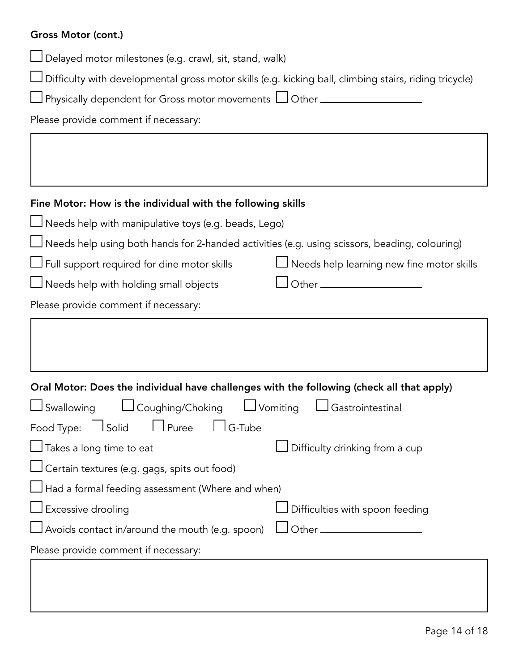#### Gross Motor (cont.)

Delayed motor milestones (e.g. crawl, sit, stand, walk)

Difficulty with developmental gross motor skills (e.g. kicking ball, climbing stairs, riding tricycle)

| $\Box$ Physically dependent for Gross motor movements $\Box$ Other . |  |  |
|----------------------------------------------------------------------|--|--|
|----------------------------------------------------------------------|--|--|

Please provide comment if necessary:

#### Fine Motor: How is the individual with the following skills

 $\Box$  Needs help with manipulative toys (e.g. beads, Lego)

 $\Box$  Needs help using both hands for 2-handed activities (e.g. using scissors, beading, colouring)

 $\Box$  Full support required for dine motor skills  $\Box$  Needs help learning new fine motor skills

 $\Box$  Needs help with holding small objects  $\Box$  Other  $\Box$ 

|  | Please provide comment if necessary: |  |
|--|--------------------------------------|--|
|  |                                      |  |

| Oral Motor: Does the individual have challenges with the following (check all that apply) |                                 |
|-------------------------------------------------------------------------------------------|---------------------------------|
| $\Box$ Swallowing $\Box$ Coughing/Choking $\Box$ Vomiting                                 | $\Box$ Gastrointestinal         |
| $\Box$ G-Tube<br>Food Type: $\Box$ Solid $\Box$ Puree                                     |                                 |
| $\Box$ Takes a long time to eat                                                           | Difficulty drinking from a cup  |
| Certain textures (e.g. gags, spits out food)                                              |                                 |
| $\Box$ Had a formal feeding assessment (Where and when)                                   |                                 |
| $\Box$ Excessive drooling                                                                 | Difficulties with spoon feeding |
| $\Box$ Avoids contact in/around the mouth (e.g. spoon)                                    | $\Box$ Other $\Box$             |
| Please provide comment if necessary:                                                      |                                 |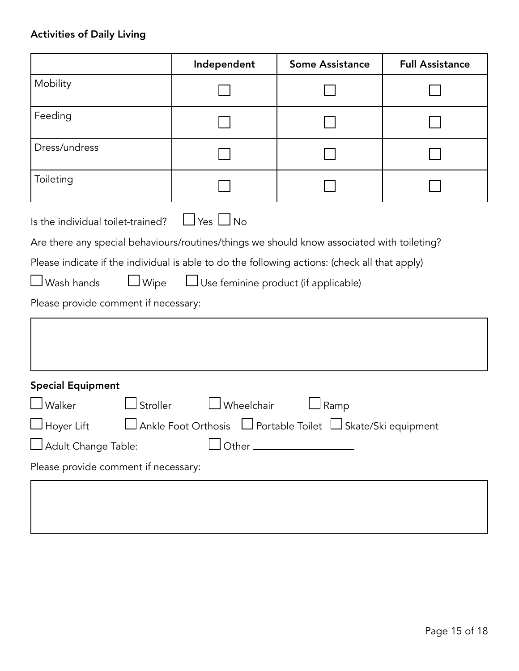## Activities of Daily Living

|                                                                                                                                                                                                                                                                                                                                                                              | Independent | <b>Some Assistance</b> | <b>Full Assistance</b> |  |
|------------------------------------------------------------------------------------------------------------------------------------------------------------------------------------------------------------------------------------------------------------------------------------------------------------------------------------------------------------------------------|-------------|------------------------|------------------------|--|
| Mobility                                                                                                                                                                                                                                                                                                                                                                     |             |                        |                        |  |
| Feeding                                                                                                                                                                                                                                                                                                                                                                      |             |                        |                        |  |
| Dress/undress                                                                                                                                                                                                                                                                                                                                                                |             |                        |                        |  |
| Toileting                                                                                                                                                                                                                                                                                                                                                                    |             |                        |                        |  |
| $\Box$ Yes $\Box$ No<br>Is the individual toilet-trained?<br>Are there any special behaviours/routines/things we should know associated with toileting?<br>Please indicate if the individual is able to do the following actions: (check all that apply)<br>$\Box$ Wipe<br>$\Box$ Wash hands<br>Use feminine product (if applicable)<br>Please provide comment if necessary: |             |                        |                        |  |
| <b>Special Equipment</b><br>$\Box$ Walker<br>$\mathsf{\mathsf{I}}$ Stroller<br>Wheelchair<br>Ramp<br>JAnkle Foot Orthosis LJ Portable Toilet LJ Skate/Ski equipment<br>$\Box$ Hoyer Lift<br>Adult Change Table:<br>Please provide comment if necessary:                                                                                                                      |             |                        |                        |  |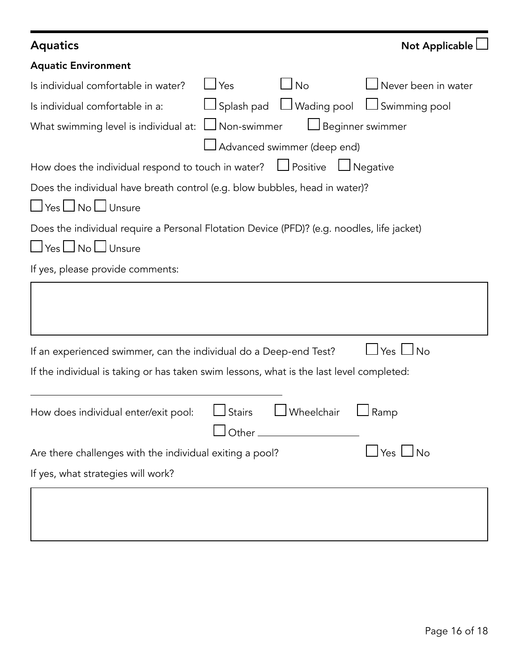| <b>Aquatics</b>                                                                            |                                                   | Not Applicable                             |
|--------------------------------------------------------------------------------------------|---------------------------------------------------|--------------------------------------------|
| <b>Aquatic Environment</b>                                                                 |                                                   |                                            |
| $\sqcup$ Yes<br>Is individual comfortable in water?                                        | <u>I No</u>                                       | $\sf J$ Never been in water                |
| Is individual comfortable in a:                                                            |                                                   | □ Splash pad □ Wading pool □ Swimming pool |
| $\Box$ Non-swimmer<br>What swimming level is individual at:                                | $\Box$ Beginner swimmer                           |                                            |
|                                                                                            | Advanced swimmer (deep end)                       |                                            |
| How does the individual respond to touch in water? $\Box$ Positive                         |                                                   | $\Box$ Negative                            |
| Does the individual have breath control (e.g. blow bubbles, head in water)?                |                                                   |                                            |
| $\Box$ Yes $\Box$ No $\Box$ Unsure                                                         |                                                   |                                            |
| Does the individual require a Personal Flotation Device (PFD)? (e.g. noodles, life jacket) |                                                   |                                            |
| $\Box$ Yes $\Box$ No $\Box$ Unsure                                                         |                                                   |                                            |
| If yes, please provide comments:                                                           |                                                   |                                            |
|                                                                                            |                                                   |                                            |
| If an experienced swimmer, can the individual do a Deep-end Test?                          |                                                   | $\sqcup$ Yes $\sqcup$ No                   |
| If the individual is taking or has taken swim lessons, what is the last level completed:   |                                                   |                                            |
| $\Box$ Stairs<br>How does individual enter/exit pool:                                      | $\Box$ Wheelchair<br>_  Other ___________________ | $\Box$ Ramp                                |
| Are there challenges with the individual exiting a pool?                                   |                                                   | $\Box$ Yes $\Box$ No                       |
| If yes, what strategies will work?                                                         |                                                   |                                            |
|                                                                                            |                                                   |                                            |
|                                                                                            |                                                   |                                            |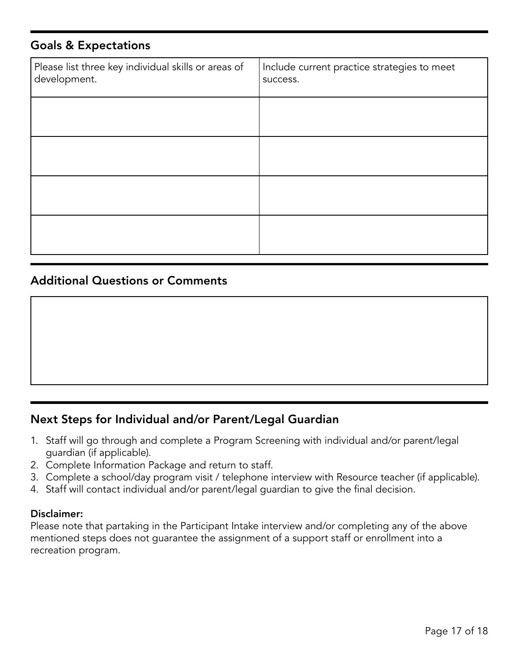#### Goals & Expectations

| Please list three key individual skills or areas of<br>development. | Include current practice strategies to meet<br>success. |
|---------------------------------------------------------------------|---------------------------------------------------------|
|                                                                     |                                                         |
|                                                                     |                                                         |
|                                                                     |                                                         |
|                                                                     |                                                         |

#### Additional Questions or Comments

#### Next Steps for Individual and/or Parent/Legal Guardian

- 1. Staff will go through and complete a Program Screening with individual and/or parent/legal guardian (if applicable).
- 2. Complete Information Package and return to staff.
- 3. Complete a school/day program visit / telephone interview with Resource teacher (if applicable).
- 4. Staff will contact individual and/or parent/legal guardian to give the final decision.

#### Disclaimer:

Please note that partaking in the Participant Intake interview and/or completing any of the above mentioned steps does not guarantee the assignment of a support staff or enrollment into a recreation program.